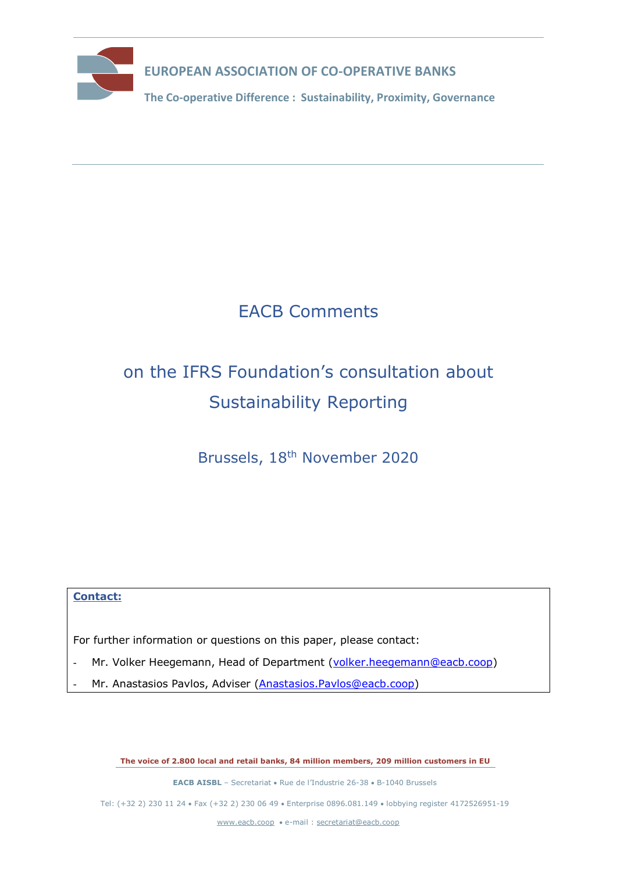

**The Co-operative Difference : Sustainability, Proximity, Governance** 

## EACB Comments

# on the IFRS Foundation's consultation about Sustainability Reporting

Brussels, 18th November 2020

### **Contact:**

For further information or questions on this paper, please contact:

- Mr. Volker Heegemann, Head of Department [\(volker.heegemann@eacb.coop\)](mailto:volker.heegemann@eacb.coop)
- Mr. Anastasios Pavlos, Adviser [\(Anastasios.Pavlos@eacb.coop\)](mailto:Anastasios.Pavlos@eacb.coop)

**The voice of 2.800 local and retail banks, 84 million members, 209 million customers in EU**

**EACB AISBL** – Secretariat • Rue de l'Industrie 26-38 • B-1040 Brussels

Tel: (+32 2) 230 11 24 Fax (+32 2) 230 06 49 Enterprise 0896.081.149 lobbying register 4172526951-19

[www.eacb.coop](http://www.eacb.coop/)  e-mail : [secretariat@eacb.coop](mailto:secretariat@eacb.coop)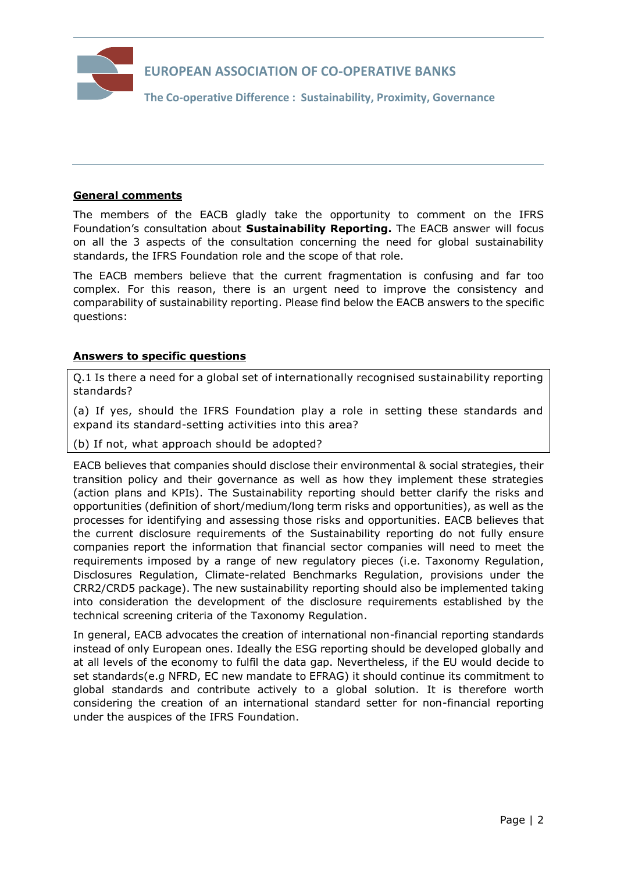

#### **General comments**

The members of the EACB gladly take the opportunity to comment on the IFRS Foundation's consultation about **Sustainability Reporting.** The EACB answer will focus on all the 3 aspects of the consultation concerning the need for global sustainability standards, the IFRS Foundation role and the scope of that role.

The EACB members believe that the current fragmentation is confusing and far too complex. For this reason, there is an urgent need to improve the consistency and comparability of sustainability reporting. Please find below the EACB answers to the specific questions:

#### **Answers to specific questions**

Q.1 Is there a need for a global set of internationally recognised sustainability reporting standards?

(a) If yes, should the IFRS Foundation play a role in setting these standards and expand its standard-setting activities into this area?

(b) If not, what approach should be adopted?

EACB believes that companies should disclose their environmental & social strategies, their transition policy and their governance as well as how they implement these strategies (action plans and KPIs). The Sustainability reporting should better clarify the risks and opportunities (definition of short/medium/long term risks and opportunities), as well as the processes for identifying and assessing those risks and opportunities. EACB believes that the current disclosure requirements of the Sustainability reporting do not fully ensure companies report the information that financial sector companies will need to meet the requirements imposed by a range of new regulatory pieces (i.e. Taxonomy Regulation, Disclosures Regulation, Climate-related Benchmarks Regulation, provisions under the CRR2/CRD5 package). The new sustainability reporting should also be implemented taking into consideration the development of the disclosure requirements established by the technical screening criteria of the Taxonomy Regulation.

In general, EACB advocates the creation of international non-financial reporting standards instead of only European ones. Ideally the ESG reporting should be developed globally and at all levels of the economy to fulfil the data gap. Nevertheless, if the EU would decide to set standards(e.g NFRD, EC new mandate to EFRAG) it should continue its commitment to global standards and contribute actively to a global solution. It is therefore worth considering the creation of an international standard setter for non-financial reporting under the auspices of the IFRS Foundation.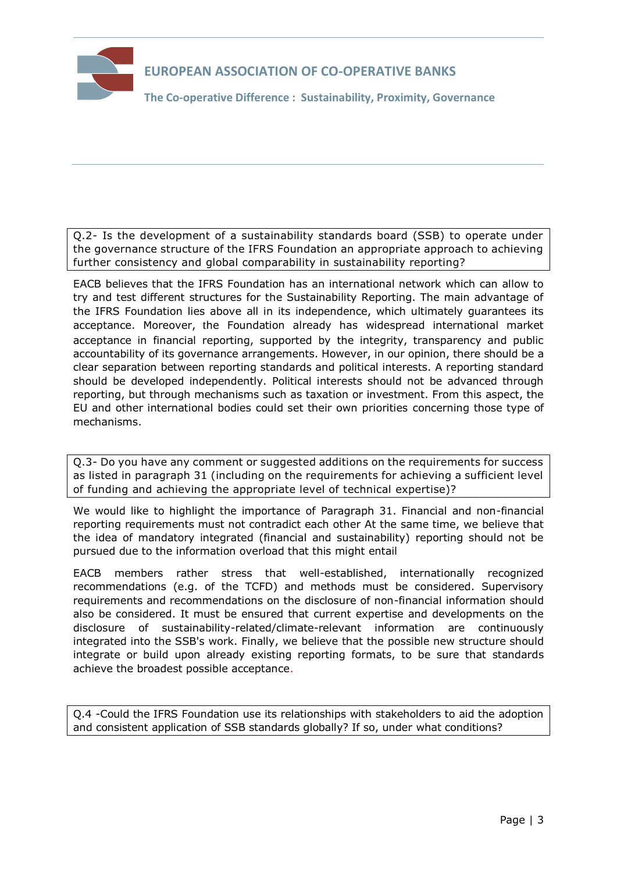

**The Co-operative Difference : Sustainability, Proximity, Governance** 

Q.2- Is the development of a sustainability standards board (SSB) to operate under the governance structure of the IFRS Foundation an appropriate approach to achieving further consistency and global comparability in sustainability reporting?

EACB believes that the IFRS Foundation has an international network which can allow to try and test different structures for the Sustainability Reporting. The main advantage of the IFRS Foundation lies above all in its independence, which ultimately guarantees its acceptance. Moreover, the Foundation already has widespread international market acceptance in financial reporting, supported by the integrity, transparency and public accountability of its governance arrangements. However, in our opinion, there should be a clear separation between reporting standards and political interests. A reporting standard should be developed independently. Political interests should not be advanced through reporting, but through mechanisms such as taxation or investment. From this aspect, the EU and other international bodies could set their own priorities concerning those type of mechanisms.

Q.3- Do you have any comment or suggested additions on the requirements for success as listed in paragraph 31 (including on the requirements for achieving a sufficient level of funding and achieving the appropriate level of technical expertise)?

We would like to highlight the importance of Paragraph 31. Financial and non-financial reporting requirements must not contradict each other At the same time, we believe that the idea of mandatory integrated (financial and sustainability) reporting should not be pursued due to the information overload that this might entail

EACB members rather stress that well-established, internationally recognized recommendations (e.g. of the TCFD) and methods must be considered. Supervisory requirements and recommendations on the disclosure of non-financial information should also be considered. It must be ensured that current expertise and developments on the disclosure of sustainability-related/climate-relevant information are continuously integrated into the SSB's work. Finally, we believe that the possible new structure should integrate or build upon already existing reporting formats, to be sure that standards achieve the broadest possible acceptance.

Q.4 -Could the IFRS Foundation use its relationships with stakeholders to aid the adoption and consistent application of SSB standards globally? If so, under what conditions?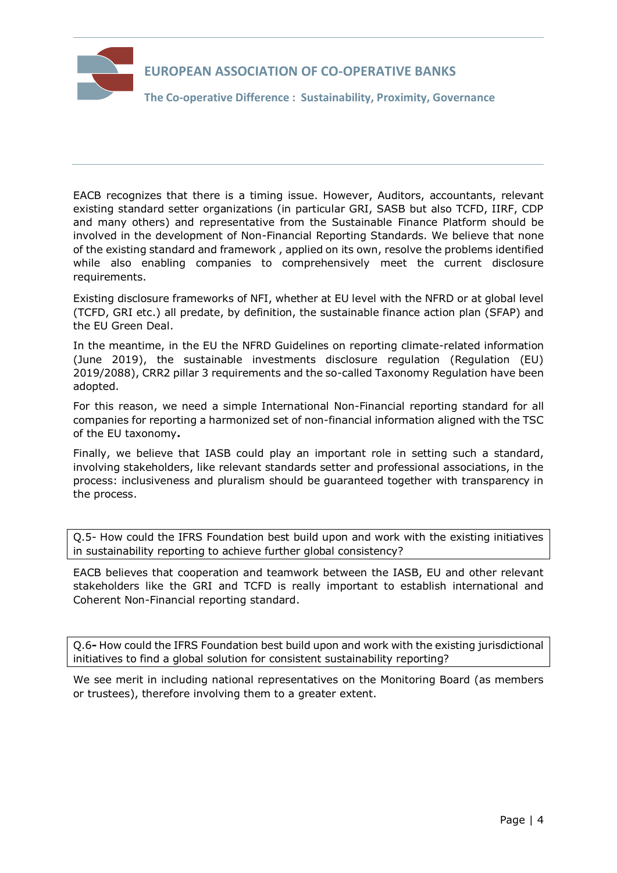

**The Co-operative Difference : Sustainability, Proximity, Governance** 

EACB recognizes that there is a timing issue. However, Auditors, accountants, relevant existing standard setter organizations (in particular GRI, SASB but also TCFD, IIRF, CDP and many others) and representative from the Sustainable Finance Platform should be involved in the development of Non-Financial Reporting Standards. We believe that none of the existing standard and framework , applied on its own, resolve the problems identified while also enabling companies to comprehensively meet the current disclosure requirements.

Existing disclosure frameworks of NFI, whether at EU level with the NFRD or at global level (TCFD, GRI etc.) all predate, by definition, the sustainable finance action plan (SFAP) and the EU Green Deal.

In the meantime, in the EU the NFRD Guidelines on reporting climate-related information (June 2019), the sustainable investments disclosure regulation (Regulation (EU) 2019/2088), CRR2 pillar 3 requirements and the so-called Taxonomy Regulation have been adopted.

For this reason, we need a simple International Non-Financial reporting standard for all companies for reporting a harmonized set of non-financial information aligned with the TSC of the EU taxonomy**.**

Finally, we believe that IASB could play an important role in setting such a standard, involving stakeholders, like relevant standards setter and professional associations, in the process: inclusiveness and pluralism should be guaranteed together with transparency in the process.

Q.5- How could the IFRS Foundation best build upon and work with the existing initiatives in sustainability reporting to achieve further global consistency?

EACB believes that cooperation and teamwork between the IASB, EU and other relevant stakeholders like the GRI and TCFD is really important to establish international and Coherent Non-Financial reporting standard.

Q.6**-** How could the IFRS Foundation best build upon and work with the existing jurisdictional initiatives to find a global solution for consistent sustainability reporting?

We see merit in including national representatives on the Monitoring Board (as members or trustees), therefore involving them to a greater extent.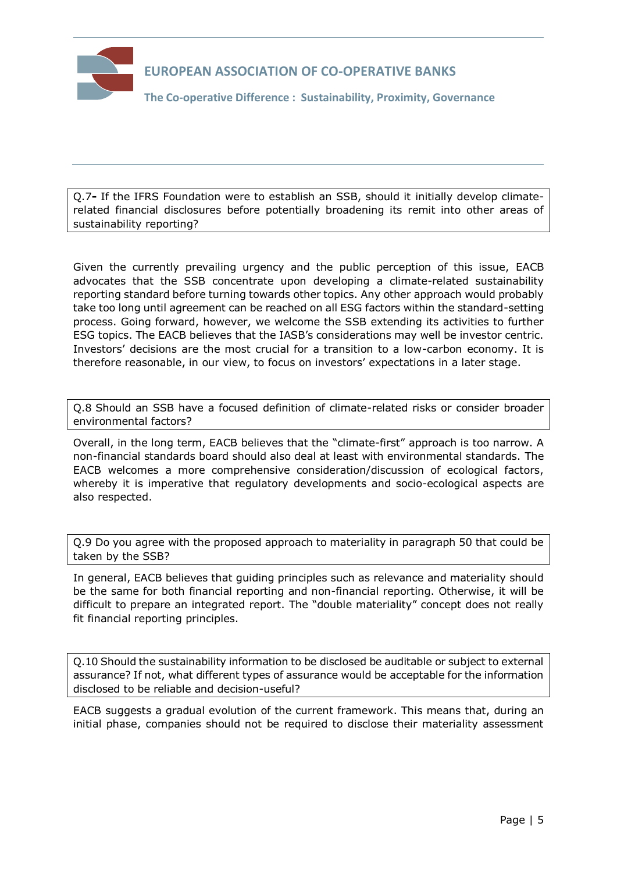

**The Co-operative Difference : Sustainability, Proximity, Governance** 

Q.7**-** If the IFRS Foundation were to establish an SSB, should it initially develop climaterelated financial disclosures before potentially broadening its remit into other areas of sustainability reporting?

Given the currently prevailing urgency and the public perception of this issue, EACB advocates that the SSB concentrate upon developing a climate-related sustainability reporting standard before turning towards other topics. Any other approach would probably take too long until agreement can be reached on all ESG factors within the standard-setting process. Going forward, however, we welcome the SSB extending its activities to further ESG topics. The EACB believes that the IASB's considerations may well be investor centric. Investors' decisions are the most crucial for a transition to a low-carbon economy. It is therefore reasonable, in our view, to focus on investors' expectations in a later stage.

Q.8 Should an SSB have a focused definition of climate-related risks or consider broader environmental factors?

Overall, in the long term, EACB believes that the "climate-first" approach is too narrow. A non-financial standards board should also deal at least with environmental standards. The EACB welcomes a more comprehensive consideration/discussion of ecological factors, whereby it is imperative that regulatory developments and socio-ecological aspects are also respected.

Q.9 Do you agree with the proposed approach to materiality in paragraph 50 that could be taken by the SSB?

In general, EACB believes that guiding principles such as relevance and materiality should be the same for both financial reporting and non-financial reporting. Otherwise, it will be difficult to prepare an integrated report. The "double materiality" concept does not really fit financial reporting principles.

Q.10 Should the sustainability information to be disclosed be auditable or subject to external assurance? If not, what different types of assurance would be acceptable for the information disclosed to be reliable and decision-useful?

EACB suggests a gradual evolution of the current framework. This means that, during an initial phase, companies should not be required to disclose their materiality assessment